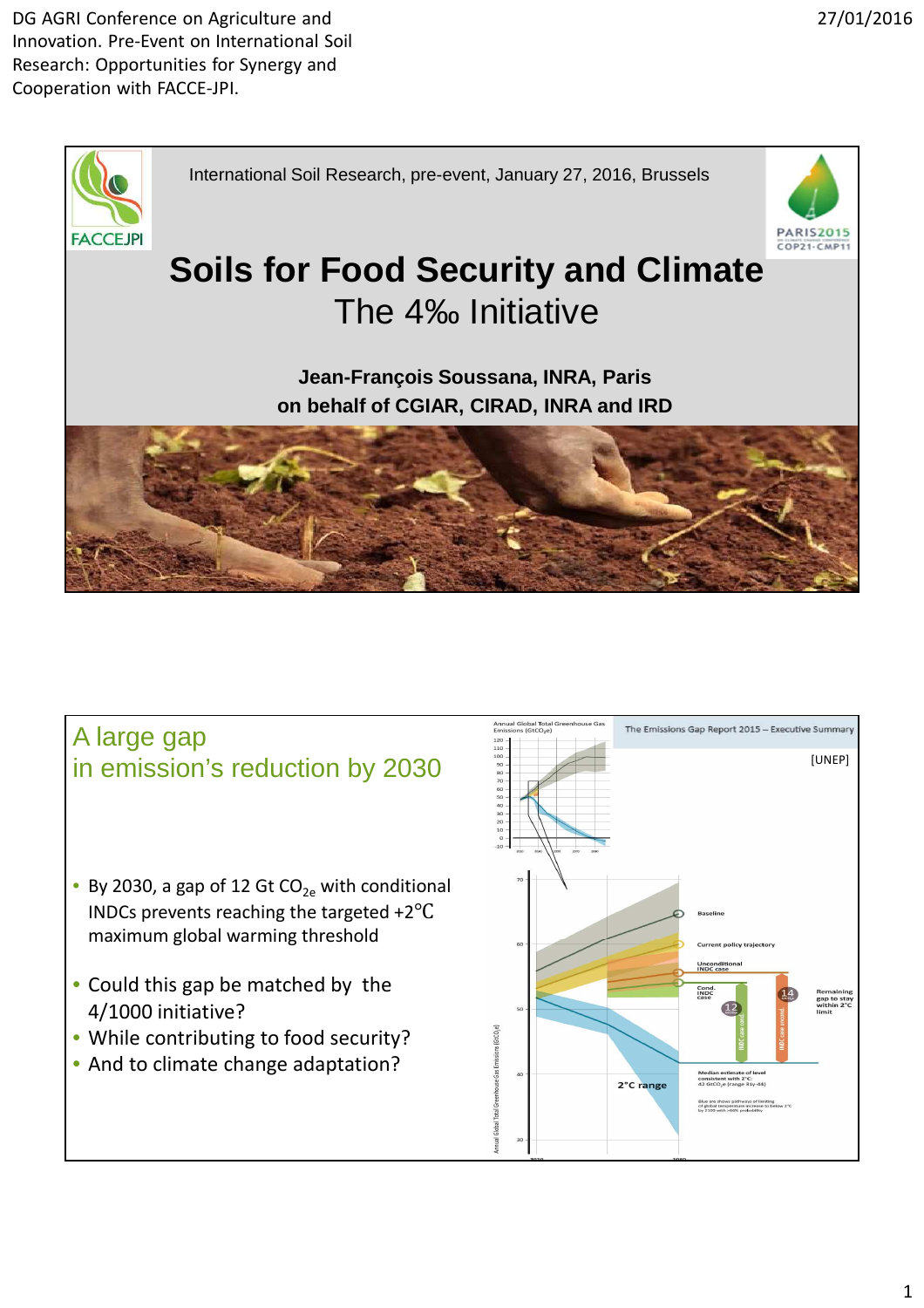



- By 2030, a gap of 12 Gt  $CO<sub>2e</sub>$  with conditional INDCs prevents reaching the targeted +2℃ maximum global warming threshold
- Could this gap be matched by the 4/1000 initiative?
- While contributing to food security?
- And to climate change adaptation?

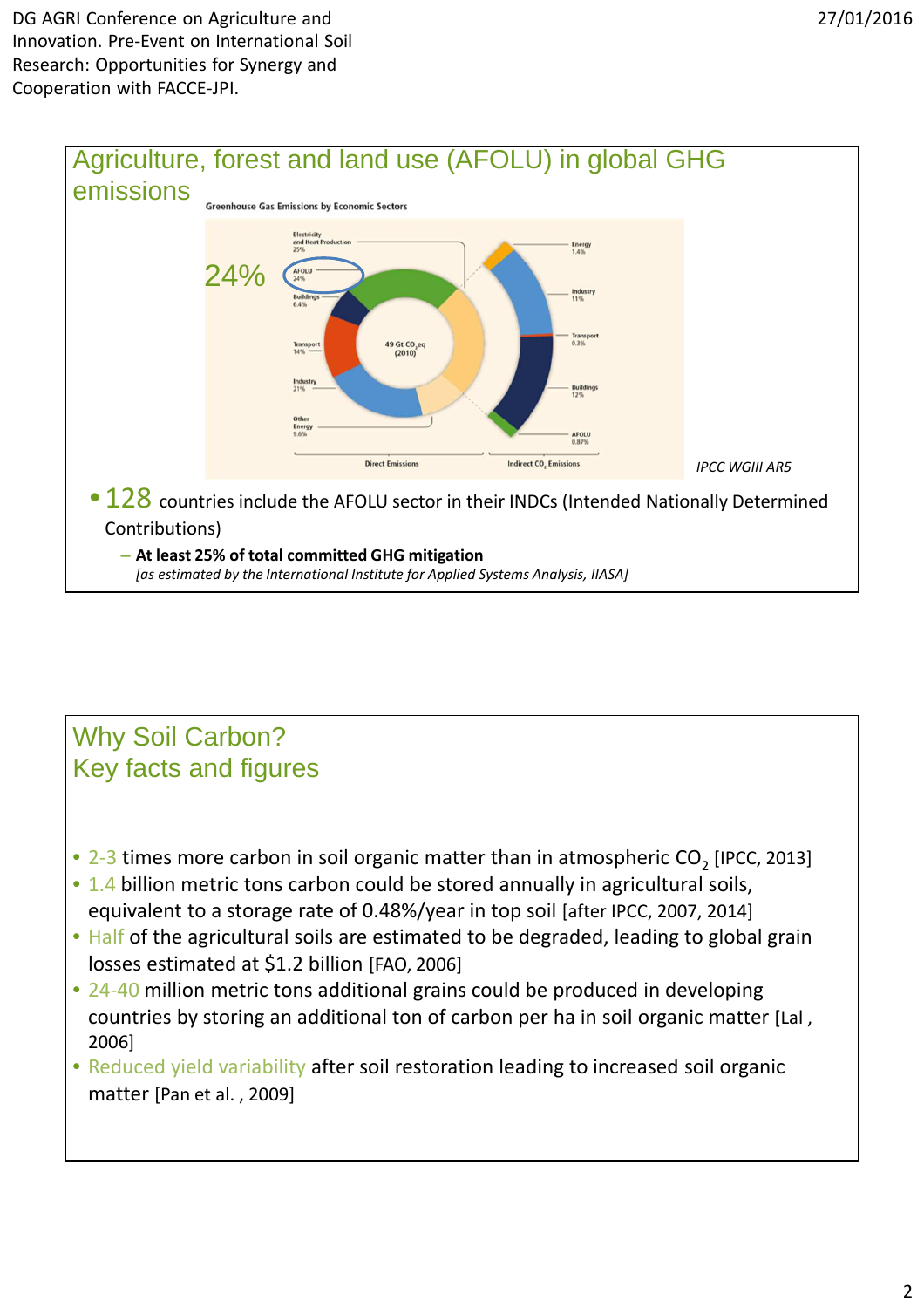DG AGRI Conference on Agriculture and Innovation. Pre-Event on International Soil Research: Opportunities for Synergy and Cooperation with FACCE-JPI.



## Why Soil Carbon? Key facts and figures

- 2-3 times more carbon in soil organic matter than in atmospheric  $CO_2$  [IPCC, 2013]
- 1.4 billion metric tons carbon could be stored annually in agricultural soils, equivalent to a storage rate of 0.48%/year in top soil [after IPCC, 2007, 2014]
- Half of the agricultural soils are estimated to be degraded, leading to global grain losses estimated at \$1.2 billion [FAO, 2006]
- 24-40 million metric tons additional grains could be produced in developing countries by storing an additional ton of carbon per ha in soil organic matter [Lal , 2006]
- Reduced yield variability after soil restoration leading to increased soil organic matter [Pan et al. , 2009]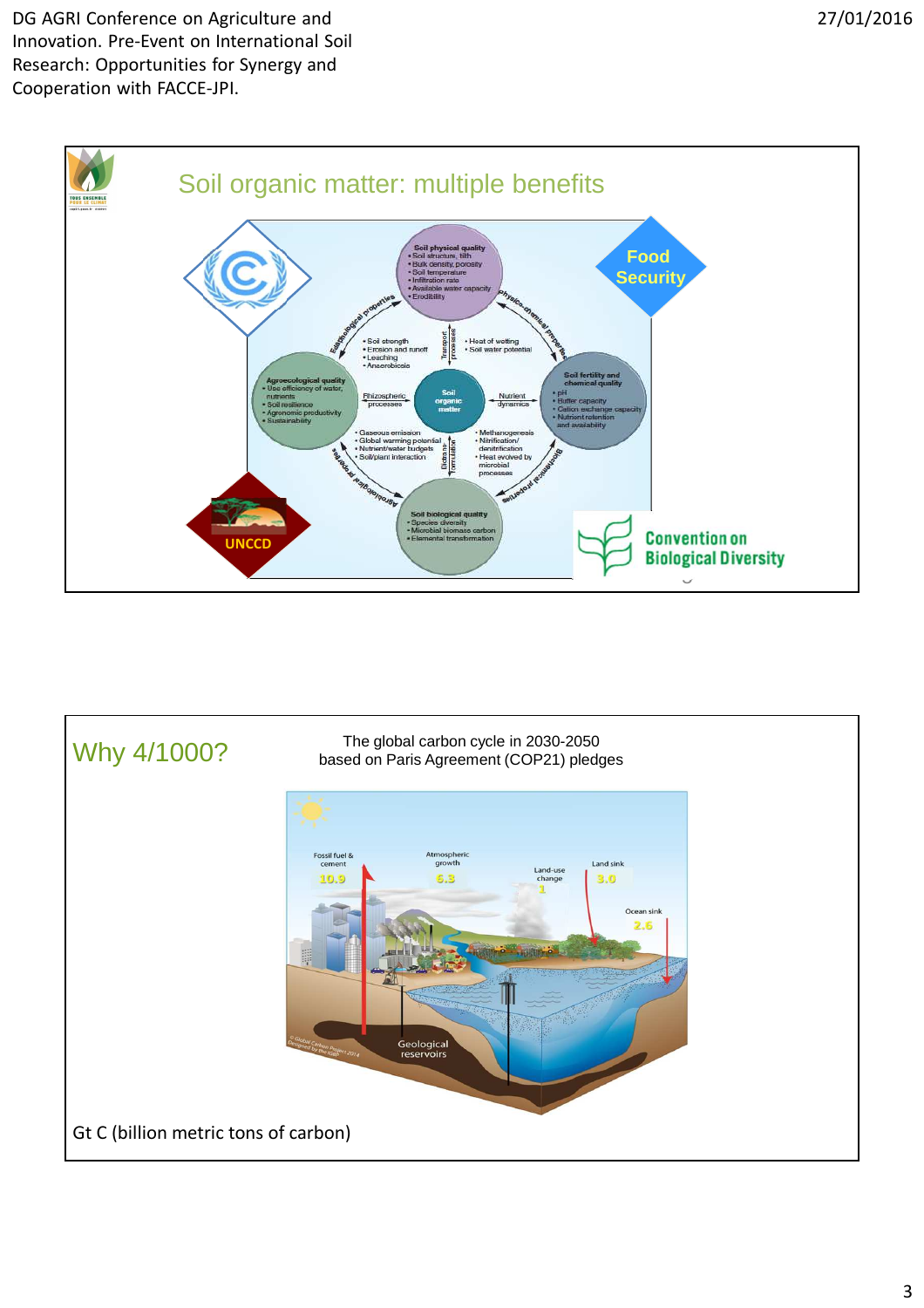DG AGRI Conference on Agriculture and Innovation. Pre-Event on International Soil Research: Opportunities for Synergy and Cooperation with FACCE-JPI.



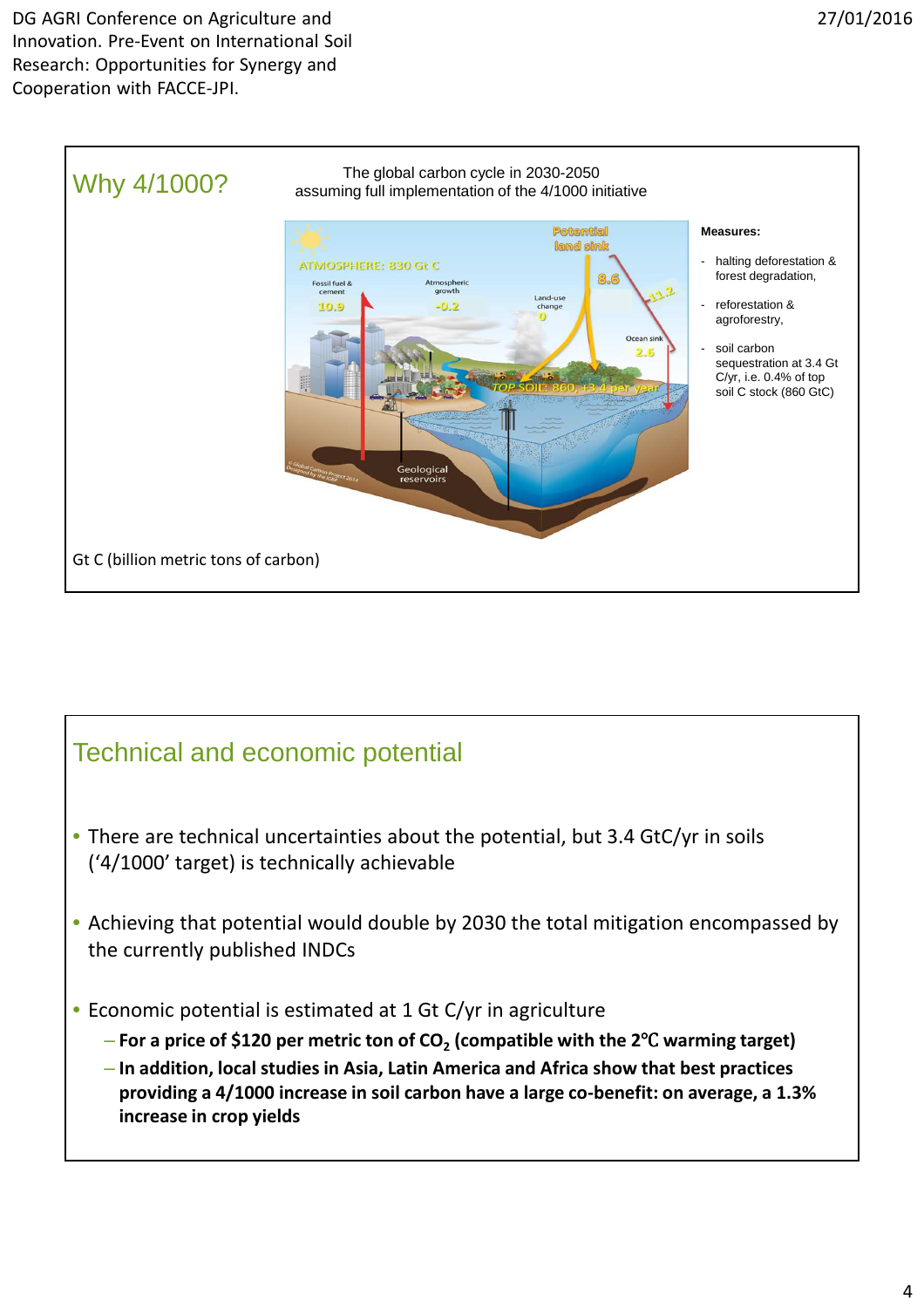

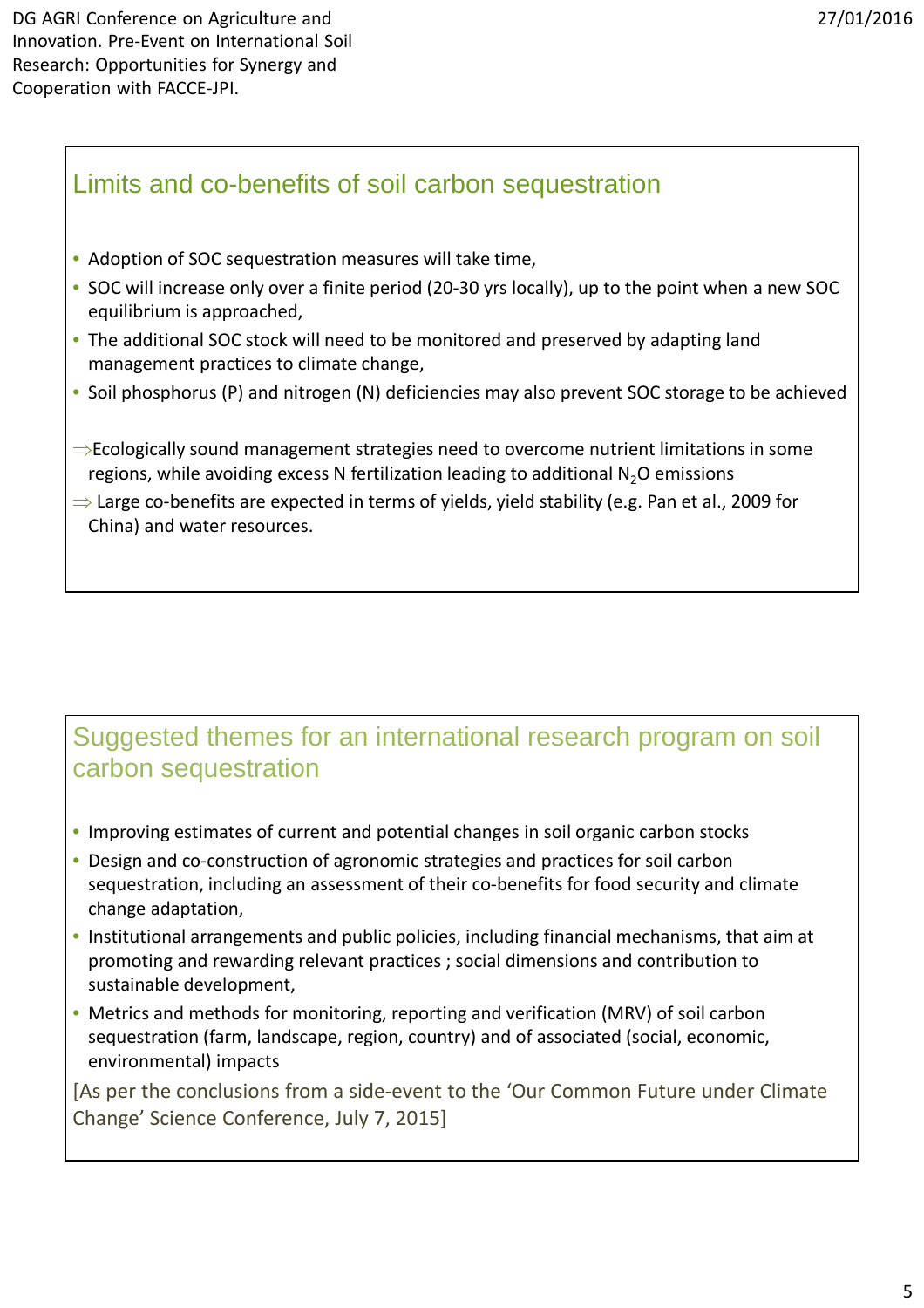## Limits and co-benefits of soil carbon sequestration

- Adoption of SOC sequestration measures will take time,
- SOC will increase only over a finite period (20-30 yrs locally), up to the point when a new SOC equilibrium is approached,
- The additional SOC stock will need to be monitored and preserved by adapting land management practices to climate change,
- Soil phosphorus (P) and nitrogen (N) deficiencies may also prevent SOC storage to be achieved
- ⇒Ecologically sound management strategies need to overcome nutrient limitations in some regions, while avoiding excess N fertilization leading to additional  $N_2O$  emissions
- ⇒ Large co-benefits are expected in terms of yields, yield stability (e.g. Pan et al., 2009 for China) and water resources.

## Suggested themes for an international research program on soil carbon sequestration

- Improving estimates of current and potential changes in soil organic carbon stocks
- Design and co-construction of agronomic strategies and practices for soil carbon sequestration, including an assessment of their co-benefits for food security and climate change adaptation,
- Institutional arrangements and public policies, including financial mechanisms, that aim at promoting and rewarding relevant practices ; social dimensions and contribution to sustainable development,
- Metrics and methods for monitoring, reporting and verification (MRV) of soil carbon sequestration (farm, landscape, region, country) and of associated (social, economic, environmental) impacts

[As per the conclusions from a side-event to the 'Our Common Future under Climate Change' Science Conference, July 7, 2015]